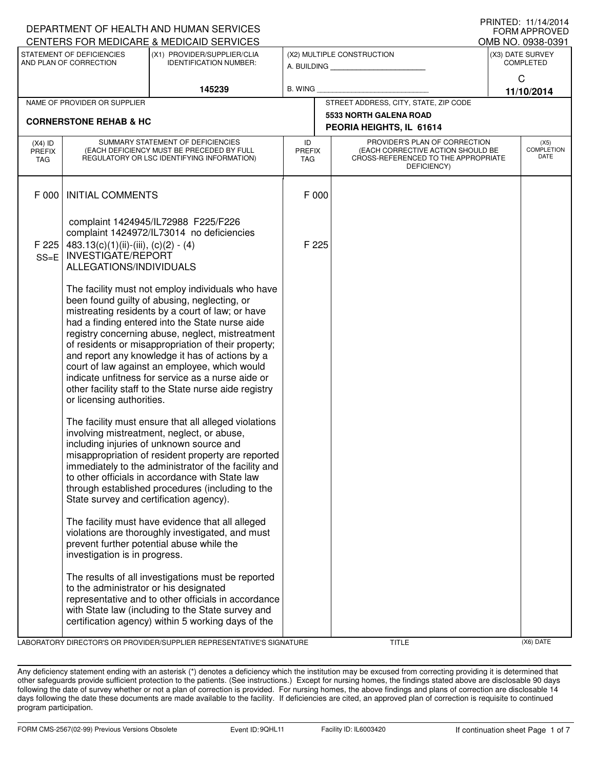|                              |                                                                                                                              | DEPARTMENT OF HEALTH AND HUMAN SERVICES                                                                                                                                                                                                                                                                                                                                                                                                                                                                                               |                                           |                                       |                                                                                                                          |                                   | I I III I I L L . I I / I 4/ Z U I 4<br><b>FORM APPROVED</b> |  |  |  |
|------------------------------|------------------------------------------------------------------------------------------------------------------------------|---------------------------------------------------------------------------------------------------------------------------------------------------------------------------------------------------------------------------------------------------------------------------------------------------------------------------------------------------------------------------------------------------------------------------------------------------------------------------------------------------------------------------------------|-------------------------------------------|---------------------------------------|--------------------------------------------------------------------------------------------------------------------------|-----------------------------------|--------------------------------------------------------------|--|--|--|
|                              |                                                                                                                              | CENTERS FOR MEDICARE & MEDICAID SERVICES                                                                                                                                                                                                                                                                                                                                                                                                                                                                                              |                                           |                                       |                                                                                                                          |                                   | OMB NO. 0938-0391                                            |  |  |  |
|                              | STATEMENT OF DEFICIENCIES<br>AND PLAN OF CORRECTION                                                                          | (X1) PROVIDER/SUPPLIER/CLIA<br><b>IDENTIFICATION NUMBER:</b>                                                                                                                                                                                                                                                                                                                                                                                                                                                                          | (X2) MULTIPLE CONSTRUCTION<br>A. BUILDING |                                       | (X3) DATE SURVEY<br><b>COMPLETED</b>                                                                                     |                                   |                                                              |  |  |  |
| 145239                       |                                                                                                                              | <b>B. WING</b>                                                                                                                                                                                                                                                                                                                                                                                                                                                                                                                        |                                           |                                       |                                                                                                                          | $\mathsf{C}$<br>11/10/2014        |                                                              |  |  |  |
| NAME OF PROVIDER OR SUPPLIER |                                                                                                                              |                                                                                                                                                                                                                                                                                                                                                                                                                                                                                                                                       |                                           | STREET ADDRESS, CITY, STATE, ZIP CODE |                                                                                                                          |                                   |                                                              |  |  |  |
|                              | <b>CORNERSTONE REHAB &amp; HC</b>                                                                                            |                                                                                                                                                                                                                                                                                                                                                                                                                                                                                                                                       |                                           |                                       | <b>5533 NORTH GALENA ROAD</b>                                                                                            |                                   |                                                              |  |  |  |
|                              |                                                                                                                              |                                                                                                                                                                                                                                                                                                                                                                                                                                                                                                                                       |                                           | PEORIA HEIGHTS, IL 61614              |                                                                                                                          |                                   |                                                              |  |  |  |
| $(X4)$ ID<br>PREFIX<br>TAG   | SUMMARY STATEMENT OF DEFICIENCIES<br>(EACH DEFICIENCY MUST BE PRECEDED BY FULL<br>REGULATORY OR LSC IDENTIFYING INFORMATION) |                                                                                                                                                                                                                                                                                                                                                                                                                                                                                                                                       | ID<br><b>PREFIX</b><br><b>TAG</b>         |                                       | PROVIDER'S PLAN OF CORRECTION<br>(EACH CORRECTIVE ACTION SHOULD BE<br>CROSS-REFERENCED TO THE APPROPRIATE<br>DEFICIENCY) | (X5)<br><b>COMPLETION</b><br>DATE |                                                              |  |  |  |
| F 000                        | <b>INITIAL COMMENTS</b>                                                                                                      |                                                                                                                                                                                                                                                                                                                                                                                                                                                                                                                                       |                                           | F 000                                 |                                                                                                                          |                                   |                                                              |  |  |  |
| F 225<br>$SS=E$              | 483.13(c)(1)(ii)-(iii), (c)(2) - (4)<br><b>INVESTIGATE/REPORT</b><br>ALLEGATIONS/INDIVIDUALS                                 | complaint 1424945/IL72988 F225/F226<br>complaint 1424972/IL73014 no deficiencies                                                                                                                                                                                                                                                                                                                                                                                                                                                      |                                           | F 225                                 |                                                                                                                          |                                   |                                                              |  |  |  |
|                              | or licensing authorities.                                                                                                    | The facility must not employ individuals who have<br>been found guilty of abusing, neglecting, or<br>mistreating residents by a court of law; or have<br>had a finding entered into the State nurse aide<br>registry concerning abuse, neglect, mistreatment<br>of residents or misappropriation of their property;<br>and report any knowledge it has of actions by a<br>court of law against an employee, which would<br>indicate unfitness for service as a nurse aide or<br>other facility staff to the State nurse aide registry |                                           |                                       |                                                                                                                          |                                   |                                                              |  |  |  |
|                              | State survey and certification agency).                                                                                      | The facility must ensure that all alleged violations<br>involving mistreatment, neglect, or abuse,<br>including injuries of unknown source and<br>misappropriation of resident property are reported<br>immediately to the administrator of the facility and<br>to other officials in accordance with State law<br>through established procedures (including to the                                                                                                                                                                   |                                           |                                       |                                                                                                                          |                                   |                                                              |  |  |  |
|                              | investigation is in progress.                                                                                                | The facility must have evidence that all alleged<br>violations are thoroughly investigated, and must<br>prevent further potential abuse while the                                                                                                                                                                                                                                                                                                                                                                                     |                                           |                                       |                                                                                                                          |                                   |                                                              |  |  |  |
|                              | to the administrator or his designated                                                                                       | The results of all investigations must be reported<br>representative and to other officials in accordance<br>with State law (including to the State survey and<br>certification agency) within 5 working days of the                                                                                                                                                                                                                                                                                                                  |                                           |                                       |                                                                                                                          |                                   |                                                              |  |  |  |

LABORATORY DIRECTOR'S OR PROVIDER/SUPPLIER REPRESENTATIVE'S SIGNATURE TITLE (X6) DATE

PRINTED: 11/14/2014

Any deficiency statement ending with an asterisk (\*) denotes a deficiency which the institution may be excused from correcting providing it is determined that other safeguards provide sufficient protection to the patients. (See instructions.) Except for nursing homes, the findings stated above are disclosable 90 days following the date of survey whether or not a plan of correction is provided. For nursing homes, the above findings and plans of correction are disclosable 14 days following the date these documents are made available to the facility. If deficiencies are cited, an approved plan of correction is requisite to continued program participation.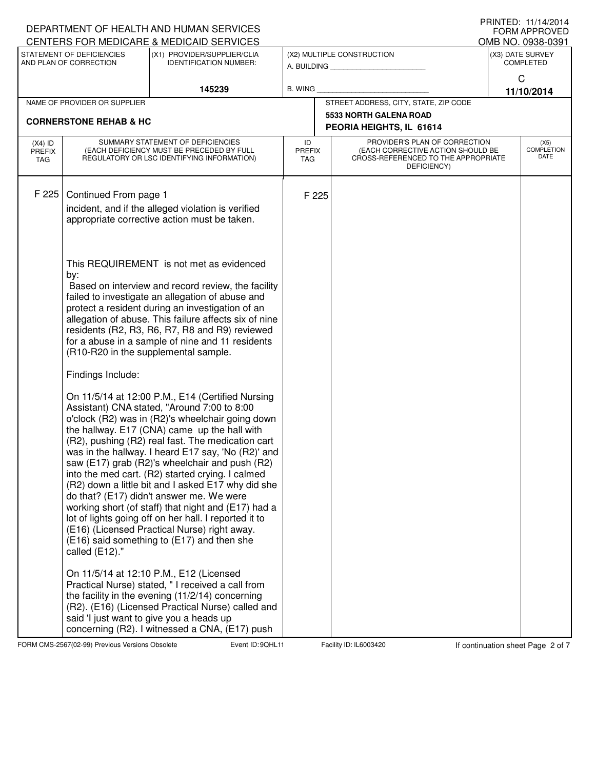|                                                          |                                   | DEPARTMENT OF HEALTH AND HUMAN SERVICES<br>CENTERS FOR MEDICARE & MEDICAID SERVICES                       |                            |                                   |                                                                                         |                  | FNIIVIED. II/I4/ZUI4<br><b>FORM APPROVED</b><br>OMB NO. 0938-0391 |  |  |
|----------------------------------------------------------|-----------------------------------|-----------------------------------------------------------------------------------------------------------|----------------------------|-----------------------------------|-----------------------------------------------------------------------------------------|------------------|-------------------------------------------------------------------|--|--|
| STATEMENT OF DEFICIENCIES<br>(X1) PROVIDER/SUPPLIER/CLIA |                                   |                                                                                                           |                            |                                   | (X2) MULTIPLE CONSTRUCTION                                                              | (X3) DATE SURVEY |                                                                   |  |  |
|                                                          | AND PLAN OF CORRECTION            | <b>IDENTIFICATION NUMBER:</b>                                                                             |                            |                                   | A. BUILDING                                                                             | <b>COMPLETED</b> |                                                                   |  |  |
|                                                          |                                   | 145239                                                                                                    |                            | C<br><b>B. WING</b><br>11/10/2014 |                                                                                         |                  |                                                                   |  |  |
| NAME OF PROVIDER OR SUPPLIER                             |                                   |                                                                                                           |                            |                                   | STREET ADDRESS, CITY, STATE, ZIP CODE                                                   |                  |                                                                   |  |  |
|                                                          | <b>CORNERSTONE REHAB &amp; HC</b> |                                                                                                           |                            |                                   | <b>5533 NORTH GALENA ROAD</b>                                                           |                  |                                                                   |  |  |
|                                                          |                                   | SUMMARY STATEMENT OF DEFICIENCIES                                                                         |                            |                                   | PEORIA HEIGHTS, IL 61614<br>PROVIDER'S PLAN OF CORRECTION                               |                  |                                                                   |  |  |
| $(X4)$ ID<br><b>PREFIX</b><br>TAG                        |                                   | (EACH DEFICIENCY MUST BE PRECEDED BY FULL<br>REGULATORY OR LSC IDENTIFYING INFORMATION)                   | ID<br><b>PREFIX</b><br>TAG |                                   | (EACH CORRECTIVE ACTION SHOULD BE<br>CROSS-REFERENCED TO THE APPROPRIATE<br>DEFICIENCY) |                  | (X5)<br><b>COMPLETION</b><br>DATE                                 |  |  |
| F 225                                                    |                                   |                                                                                                           |                            |                                   |                                                                                         |                  |                                                                   |  |  |
|                                                          | Continued From page 1             | incident, and if the alleged violation is verified                                                        | F 225                      |                                   |                                                                                         |                  |                                                                   |  |  |
|                                                          |                                   | appropriate corrective action must be taken.                                                              |                            |                                   |                                                                                         |                  |                                                                   |  |  |
|                                                          |                                   |                                                                                                           |                            |                                   |                                                                                         |                  |                                                                   |  |  |
|                                                          |                                   |                                                                                                           |                            |                                   |                                                                                         |                  |                                                                   |  |  |
|                                                          | by:                               | This REQUIREMENT is not met as evidenced                                                                  |                            |                                   |                                                                                         |                  |                                                                   |  |  |
|                                                          |                                   | Based on interview and record review, the facility                                                        |                            |                                   |                                                                                         |                  |                                                                   |  |  |
|                                                          |                                   | failed to investigate an allegation of abuse and                                                          |                            |                                   |                                                                                         |                  |                                                                   |  |  |
|                                                          |                                   | protect a resident during an investigation of an<br>allegation of abuse. This failure affects six of nine |                            |                                   |                                                                                         |                  |                                                                   |  |  |
|                                                          |                                   | residents (R2, R3, R6, R7, R8 and R9) reviewed                                                            |                            |                                   |                                                                                         |                  |                                                                   |  |  |
|                                                          |                                   | for a abuse in a sample of nine and 11 residents<br>(R10-R20 in the supplemental sample.                  |                            |                                   |                                                                                         |                  |                                                                   |  |  |
|                                                          | Findings Include:                 |                                                                                                           |                            |                                   |                                                                                         |                  |                                                                   |  |  |
|                                                          |                                   | On 11/5/14 at 12:00 P.M., E14 (Certified Nursing                                                          |                            |                                   |                                                                                         |                  |                                                                   |  |  |
|                                                          |                                   | Assistant) CNA stated, "Around 7:00 to 8:00<br>o'clock (R2) was in (R2)'s wheelchair going down           |                            |                                   |                                                                                         |                  |                                                                   |  |  |
|                                                          |                                   | the hallway. E17 (CNA) came up the hall with                                                              |                            |                                   |                                                                                         |                  |                                                                   |  |  |
|                                                          |                                   | (R2), pushing (R2) real fast. The medication cart                                                         |                            |                                   |                                                                                         |                  |                                                                   |  |  |
|                                                          |                                   | was in the hallway. I heard E17 say, 'No (R2)' and<br>saw (E17) grab (R2)'s wheelchair and push (R2)      |                            |                                   |                                                                                         |                  |                                                                   |  |  |
|                                                          |                                   | into the med cart. (R2) started crying. I calmed                                                          |                            |                                   |                                                                                         |                  |                                                                   |  |  |
|                                                          |                                   | (R2) down a little bit and I asked E17 why did she<br>do that? (E17) didn't answer me. We were            |                            |                                   |                                                                                         |                  |                                                                   |  |  |
|                                                          |                                   | working short (of staff) that night and (E17) had a                                                       |                            |                                   |                                                                                         |                  |                                                                   |  |  |
|                                                          |                                   | lot of lights going off on her hall. I reported it to                                                     |                            |                                   |                                                                                         |                  |                                                                   |  |  |
|                                                          |                                   | (E16) (Licensed Practical Nurse) right away.<br>(E16) said something to (E17) and then she                |                            |                                   |                                                                                         |                  |                                                                   |  |  |
|                                                          | called (E12)."                    |                                                                                                           |                            |                                   |                                                                                         |                  |                                                                   |  |  |
|                                                          |                                   | On 11/5/14 at 12:10 P.M., E12 (Licensed                                                                   |                            |                                   |                                                                                         |                  |                                                                   |  |  |
|                                                          |                                   | Practical Nurse) stated, "I received a call from                                                          |                            |                                   |                                                                                         |                  |                                                                   |  |  |
|                                                          |                                   | the facility in the evening $(11/2/14)$ concerning<br>(R2). (E16) (Licensed Practical Nurse) called and   |                            |                                   |                                                                                         |                  |                                                                   |  |  |
|                                                          |                                   | said 'I just want to give you a heads up                                                                  |                            |                                   |                                                                                         |                  |                                                                   |  |  |
|                                                          |                                   | concerning (R2). I witnessed a CNA, (E17) push                                                            |                            |                                   |                                                                                         |                  |                                                                   |  |  |

FORM CMS-2567(02-99) Previous Versions Obsolete **10** Event ID: 9QHL11 Facility ID: IL6003420 If continuation sheet Page 2 of 7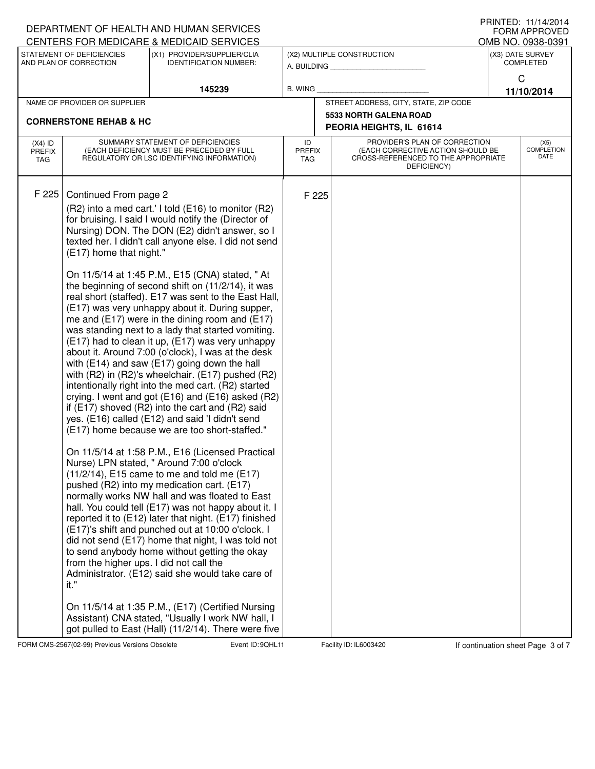| CENTERS FOR MEDICARE & MEDICAID SERVICES<br>OMB NO. 0938-0391<br>STATEMENT OF DEFICIENCIES<br>(X1) PROVIDER/SUPPLIER/CLIA<br>(X2) MULTIPLE CONSTRUCTION<br>(X3) DATE SURVEY<br>AND PLAN OF CORRECTION<br><b>IDENTIFICATION NUMBER:</b><br><b>COMPLETED</b><br>A. BUILDING<br>C<br>145239<br><b>B. WING</b><br>11/10/2014<br>NAME OF PROVIDER OR SUPPLIER<br>STREET ADDRESS, CITY, STATE, ZIP CODE<br><b>5533 NORTH GALENA ROAD</b><br><b>CORNERSTONE REHAB &amp; HC</b><br>PEORIA HEIGHTS, IL 61614<br>PROVIDER'S PLAN OF CORRECTION<br>SUMMARY STATEMENT OF DEFICIENCIES<br>ID<br>(X5)<br>$(X4)$ ID<br><b>COMPLETION</b><br>(EACH DEFICIENCY MUST BE PRECEDED BY FULL<br>(EACH CORRECTIVE ACTION SHOULD BE<br><b>PREFIX</b><br><b>PREFIX</b><br>DATE<br>CROSS-REFERENCED TO THE APPROPRIATE<br>REGULATORY OR LSC IDENTIFYING INFORMATION)<br><b>TAG</b><br>TAG<br>DEFICIENCY)<br>F 225<br>Continued From page 2<br>F 225<br>(R2) into a med cart.' I told (E16) to monitor (R2)<br>for bruising. I said I would notify the (Director of<br>Nursing) DON. The DON (E2) didn't answer, so I<br>texted her. I didn't call anyone else. I did not send<br>(E17) home that night."<br>On 11/5/14 at 1:45 P.M., E15 (CNA) stated, "At<br>the beginning of second shift on (11/2/14), it was<br>real short (staffed). E17 was sent to the East Hall,<br>(E17) was very unhappy about it. During supper,<br>me and $(E17)$ were in the dining room and $(E17)$<br>was standing next to a lady that started vomiting.<br>(E17) had to clean it up, (E17) was very unhappy<br>about it. Around 7:00 (o'clock), I was at the desk<br>with (E14) and saw (E17) going down the hall<br>with (R2) in (R2)'s wheelchair. (E17) pushed (R2)<br>intentionally right into the med cart. (R2) started<br>crying. I went and got (E16) and (E16) asked (R2)<br>if $(E17)$ shoved $(R2)$ into the cart and $(R2)$ said<br>yes. (E16) called (E12) and said 'I didn't send<br>(E17) home because we are too short-staffed."<br>On 11/5/14 at 1:58 P.M., E16 (Licensed Practical<br>Nurse) LPN stated, " Around 7:00 o'clock<br>$(11/2/14)$ , E15 came to me and told me (E17)<br>pushed (R2) into my medication cart. (E17)<br>normally works NW hall and was floated to East<br>hall. You could tell (E17) was not happy about it. I<br>reported it to (E12) later that night. (E17) finished<br>(E17)'s shift and punched out at 10:00 o'clock. I<br>did not send (E17) home that night, I was told not<br>to send anybody home without getting the okay |  |  | DEPARTMENT OF HEALTH AND HUMAN SERVICES |  |  | ▏▎▎▏▎▎▎▏▏▁ <i>ື</i><br><b>FORM APPROVED</b> |
|---------------------------------------------------------------------------------------------------------------------------------------------------------------------------------------------------------------------------------------------------------------------------------------------------------------------------------------------------------------------------------------------------------------------------------------------------------------------------------------------------------------------------------------------------------------------------------------------------------------------------------------------------------------------------------------------------------------------------------------------------------------------------------------------------------------------------------------------------------------------------------------------------------------------------------------------------------------------------------------------------------------------------------------------------------------------------------------------------------------------------------------------------------------------------------------------------------------------------------------------------------------------------------------------------------------------------------------------------------------------------------------------------------------------------------------------------------------------------------------------------------------------------------------------------------------------------------------------------------------------------------------------------------------------------------------------------------------------------------------------------------------------------------------------------------------------------------------------------------------------------------------------------------------------------------------------------------------------------------------------------------------------------------------------------------------------------------------------------------------------------------------------------------------------------------------------------------------------------------------------------------------------------------------------------------------------------------------------------------------------------------------------------------------------------------------------------------------------------------------------------------------------------------------|--|--|-----------------------------------------|--|--|---------------------------------------------|
|                                                                                                                                                                                                                                                                                                                                                                                                                                                                                                                                                                                                                                                                                                                                                                                                                                                                                                                                                                                                                                                                                                                                                                                                                                                                                                                                                                                                                                                                                                                                                                                                                                                                                                                                                                                                                                                                                                                                                                                                                                                                                                                                                                                                                                                                                                                                                                                                                                                                                                                                       |  |  |                                         |  |  |                                             |
|                                                                                                                                                                                                                                                                                                                                                                                                                                                                                                                                                                                                                                                                                                                                                                                                                                                                                                                                                                                                                                                                                                                                                                                                                                                                                                                                                                                                                                                                                                                                                                                                                                                                                                                                                                                                                                                                                                                                                                                                                                                                                                                                                                                                                                                                                                                                                                                                                                                                                                                                       |  |  |                                         |  |  |                                             |
|                                                                                                                                                                                                                                                                                                                                                                                                                                                                                                                                                                                                                                                                                                                                                                                                                                                                                                                                                                                                                                                                                                                                                                                                                                                                                                                                                                                                                                                                                                                                                                                                                                                                                                                                                                                                                                                                                                                                                                                                                                                                                                                                                                                                                                                                                                                                                                                                                                                                                                                                       |  |  |                                         |  |  |                                             |
|                                                                                                                                                                                                                                                                                                                                                                                                                                                                                                                                                                                                                                                                                                                                                                                                                                                                                                                                                                                                                                                                                                                                                                                                                                                                                                                                                                                                                                                                                                                                                                                                                                                                                                                                                                                                                                                                                                                                                                                                                                                                                                                                                                                                                                                                                                                                                                                                                                                                                                                                       |  |  |                                         |  |  |                                             |
|                                                                                                                                                                                                                                                                                                                                                                                                                                                                                                                                                                                                                                                                                                                                                                                                                                                                                                                                                                                                                                                                                                                                                                                                                                                                                                                                                                                                                                                                                                                                                                                                                                                                                                                                                                                                                                                                                                                                                                                                                                                                                                                                                                                                                                                                                                                                                                                                                                                                                                                                       |  |  |                                         |  |  |                                             |
|                                                                                                                                                                                                                                                                                                                                                                                                                                                                                                                                                                                                                                                                                                                                                                                                                                                                                                                                                                                                                                                                                                                                                                                                                                                                                                                                                                                                                                                                                                                                                                                                                                                                                                                                                                                                                                                                                                                                                                                                                                                                                                                                                                                                                                                                                                                                                                                                                                                                                                                                       |  |  |                                         |  |  |                                             |
|                                                                                                                                                                                                                                                                                                                                                                                                                                                                                                                                                                                                                                                                                                                                                                                                                                                                                                                                                                                                                                                                                                                                                                                                                                                                                                                                                                                                                                                                                                                                                                                                                                                                                                                                                                                                                                                                                                                                                                                                                                                                                                                                                                                                                                                                                                                                                                                                                                                                                                                                       |  |  |                                         |  |  |                                             |
| from the higher ups. I did not call the<br>Administrator. (E12) said she would take care of<br>it."<br>On 11/5/14 at 1:35 P.M., (E17) (Certified Nursing<br>Assistant) CNA stated, "Usually I work NW hall, I<br>got pulled to East (Hall) (11/2/14). There were five                                                                                                                                                                                                                                                                                                                                                                                                                                                                                                                                                                                                                                                                                                                                                                                                                                                                                                                                                                                                                                                                                                                                                                                                                                                                                                                                                                                                                                                                                                                                                                                                                                                                                                                                                                                                                                                                                                                                                                                                                                                                                                                                                                                                                                                                 |  |  |                                         |  |  |                                             |

FORM CMS-2567(02-99) Previous Versions Obsolete **900 Event ID: 9QHL11** Facility ID: IL6003420 If continuation sheet Page 3 of 7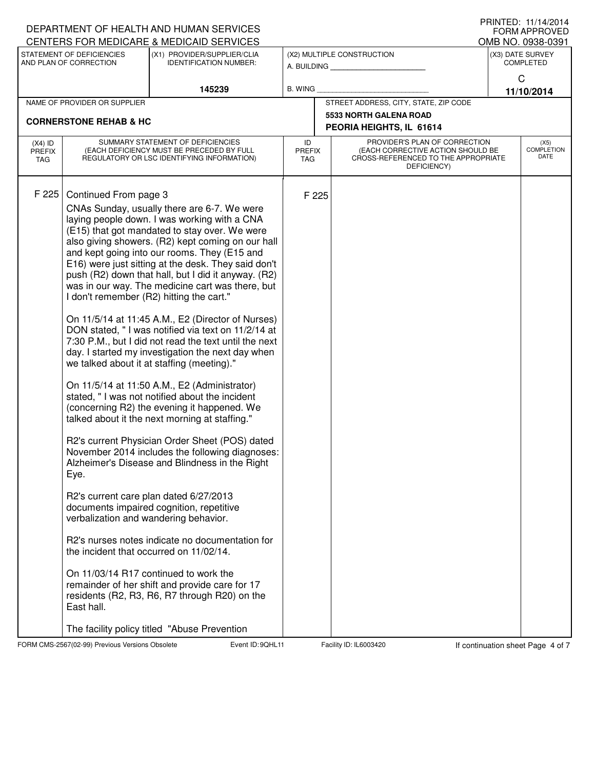|                                                                                                                     |                                                                                                                                                                             | DEPARTMENT OF HEALTH AND HUMAN SERVICES<br>CENTERS FOR MEDICARE & MEDICAID SERVICES                                                                                                                                                                                                                                                                                                                                                                                                                                                                                                                                                                                                                                                                                                                                                                                                                                                                                                                                                                                                                                                                                                                                                                                                                                                                                                       |                                   |                                           |                                                                                                                          |                 | I I III I I L L . I I / I 4/ Z U I 4<br><b>FORM APPROVED</b><br>OMB NO. 0938-0391 |  |
|---------------------------------------------------------------------------------------------------------------------|-----------------------------------------------------------------------------------------------------------------------------------------------------------------------------|-------------------------------------------------------------------------------------------------------------------------------------------------------------------------------------------------------------------------------------------------------------------------------------------------------------------------------------------------------------------------------------------------------------------------------------------------------------------------------------------------------------------------------------------------------------------------------------------------------------------------------------------------------------------------------------------------------------------------------------------------------------------------------------------------------------------------------------------------------------------------------------------------------------------------------------------------------------------------------------------------------------------------------------------------------------------------------------------------------------------------------------------------------------------------------------------------------------------------------------------------------------------------------------------------------------------------------------------------------------------------------------------|-----------------------------------|-------------------------------------------|--------------------------------------------------------------------------------------------------------------------------|-----------------|-----------------------------------------------------------------------------------|--|
| STATEMENT OF DEFICIENCIES<br>(X1) PROVIDER/SUPPLIER/CLIA<br>AND PLAN OF CORRECTION<br><b>IDENTIFICATION NUMBER:</b> |                                                                                                                                                                             |                                                                                                                                                                                                                                                                                                                                                                                                                                                                                                                                                                                                                                                                                                                                                                                                                                                                                                                                                                                                                                                                                                                                                                                                                                                                                                                                                                                           |                                   | (X2) MULTIPLE CONSTRUCTION<br>A. BUILDING | (X3) DATE SURVEY<br><b>COMPLETED</b>                                                                                     |                 |                                                                                   |  |
|                                                                                                                     |                                                                                                                                                                             | 145239                                                                                                                                                                                                                                                                                                                                                                                                                                                                                                                                                                                                                                                                                                                                                                                                                                                                                                                                                                                                                                                                                                                                                                                                                                                                                                                                                                                    | <b>B. WING</b>                    |                                           |                                                                                                                          | C<br>11/10/2014 |                                                                                   |  |
| NAME OF PROVIDER OR SUPPLIER                                                                                        |                                                                                                                                                                             |                                                                                                                                                                                                                                                                                                                                                                                                                                                                                                                                                                                                                                                                                                                                                                                                                                                                                                                                                                                                                                                                                                                                                                                                                                                                                                                                                                                           |                                   | STREET ADDRESS, CITY, STATE, ZIP CODE     |                                                                                                                          |                 |                                                                                   |  |
| <b>CORNERSTONE REHAB &amp; HC</b>                                                                                   |                                                                                                                                                                             |                                                                                                                                                                                                                                                                                                                                                                                                                                                                                                                                                                                                                                                                                                                                                                                                                                                                                                                                                                                                                                                                                                                                                                                                                                                                                                                                                                                           |                                   |                                           | <b>5533 NORTH GALENA ROAD</b>                                                                                            |                 |                                                                                   |  |
|                                                                                                                     |                                                                                                                                                                             |                                                                                                                                                                                                                                                                                                                                                                                                                                                                                                                                                                                                                                                                                                                                                                                                                                                                                                                                                                                                                                                                                                                                                                                                                                                                                                                                                                                           |                                   |                                           | PEORIA HEIGHTS, IL 61614                                                                                                 |                 |                                                                                   |  |
| $(X4)$ ID<br>PREFIX<br>TAG                                                                                          |                                                                                                                                                                             | SUMMARY STATEMENT OF DEFICIENCIES<br>(EACH DEFICIENCY MUST BE PRECEDED BY FULL<br>REGULATORY OR LSC IDENTIFYING INFORMATION)                                                                                                                                                                                                                                                                                                                                                                                                                                                                                                                                                                                                                                                                                                                                                                                                                                                                                                                                                                                                                                                                                                                                                                                                                                                              | ID<br><b>PREFIX</b><br><b>TAG</b> |                                           | PROVIDER'S PLAN OF CORRECTION<br>(EACH CORRECTIVE ACTION SHOULD BE<br>CROSS-REFERENCED TO THE APPROPRIATE<br>DEFICIENCY) |                 | (X5)<br><b>COMPLETION</b><br>DATE                                                 |  |
| F 225                                                                                                               | Continued From page 3<br>I don't remember (R2) hitting the cart."<br>Eye.<br>verbalization and wandering behavior.<br>the incident that occurred on 11/02/14.<br>East hall. | CNAs Sunday, usually there are 6-7. We were<br>laying people down. I was working with a CNA<br>(E15) that got mandated to stay over. We were<br>also giving showers. (R2) kept coming on our hall<br>and kept going into our rooms. They (E15 and<br>E16) were just sitting at the desk. They said don't<br>push (R2) down that hall, but I did it anyway. (R2)<br>was in our way. The medicine cart was there, but<br>On 11/5/14 at 11:45 A.M., E2 (Director of Nurses)<br>DON stated, "I was notified via text on 11/2/14 at<br>7:30 P.M., but I did not read the text until the next<br>day. I started my investigation the next day when<br>we talked about it at staffing (meeting)."<br>On 11/5/14 at 11:50 A.M., E2 (Administrator)<br>stated, "I was not notified about the incident<br>(concerning R2) the evening it happened. We<br>talked about it the next morning at staffing."<br>R2's current Physician Order Sheet (POS) dated<br>November 2014 includes the following diagnoses:<br>Alzheimer's Disease and Blindness in the Right<br>R2's current care plan dated 6/27/2013<br>documents impaired cognition, repetitive<br>R2's nurses notes indicate no documentation for<br>On 11/03/14 R17 continued to work the<br>remainder of her shift and provide care for 17<br>residents (R2, R3, R6, R7 through R20) on the<br>The facility policy titled "Abuse Prevention |                                   | F 225                                     |                                                                                                                          |                 |                                                                                   |  |

FORM CMS-2567(02-99) Previous Versions Obsolete **12 Event ID: 9QHL11** Facility ID: IL6003420 If continuation sheet Page 4 of 7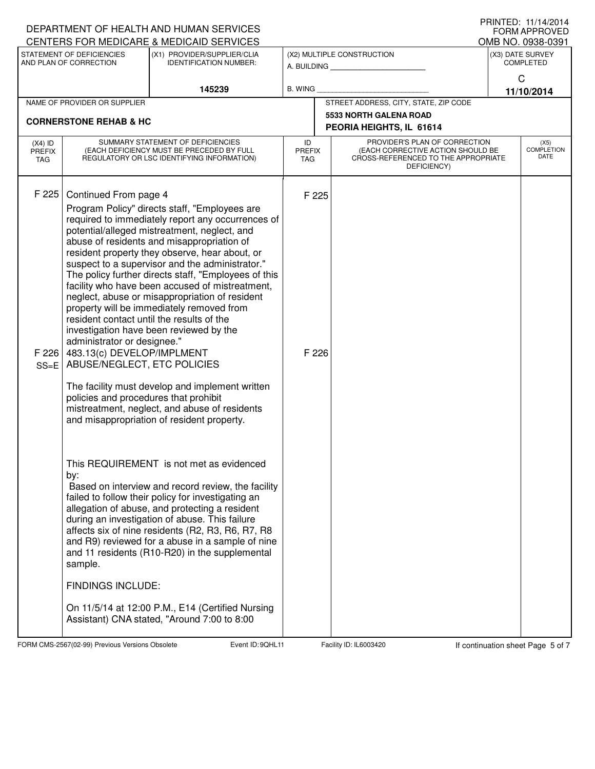|                                                                                      |                                                                                                                                                                                                         | DEPARTMENT OF HEALTH AND HUMAN SERVICES                                                                                                                                                                                                                                                                                                                                                                                                                                                                                                                                                                                                                        |                                           |                                                                                                                          | FORM APPROVED              |
|--------------------------------------------------------------------------------------|---------------------------------------------------------------------------------------------------------------------------------------------------------------------------------------------------------|----------------------------------------------------------------------------------------------------------------------------------------------------------------------------------------------------------------------------------------------------------------------------------------------------------------------------------------------------------------------------------------------------------------------------------------------------------------------------------------------------------------------------------------------------------------------------------------------------------------------------------------------------------------|-------------------------------------------|--------------------------------------------------------------------------------------------------------------------------|----------------------------|
|                                                                                      |                                                                                                                                                                                                         | CENTERS FOR MEDICARE & MEDICAID SERVICES<br>(X1) PROVIDER/SUPPLIER/CLIA                                                                                                                                                                                                                                                                                                                                                                                                                                                                                                                                                                                        |                                           |                                                                                                                          | OMB NO. 0938-0391          |
| STATEMENT OF DEFICIENCIES<br><b>IDENTIFICATION NUMBER:</b><br>AND PLAN OF CORRECTION |                                                                                                                                                                                                         |                                                                                                                                                                                                                                                                                                                                                                                                                                                                                                                                                                                                                                                                | (X2) MULTIPLE CONSTRUCTION<br>A. BUILDING | (X3) DATE SURVEY<br><b>COMPLETED</b>                                                                                     |                            |
| 145239                                                                               |                                                                                                                                                                                                         | <b>B. WING</b>                                                                                                                                                                                                                                                                                                                                                                                                                                                                                                                                                                                                                                                 |                                           | $\mathsf{C}$<br>11/10/2014                                                                                               |                            |
| NAME OF PROVIDER OR SUPPLIER                                                         |                                                                                                                                                                                                         |                                                                                                                                                                                                                                                                                                                                                                                                                                                                                                                                                                                                                                                                |                                           | STREET ADDRESS, CITY, STATE, ZIP CODE                                                                                    |                            |
| <b>CORNERSTONE REHAB &amp; HC</b>                                                    |                                                                                                                                                                                                         |                                                                                                                                                                                                                                                                                                                                                                                                                                                                                                                                                                                                                                                                |                                           | 5533 NORTH GALENA ROAD<br>PEORIA HEIGHTS, IL 61614                                                                       |                            |
| $(X4)$ ID<br><b>PREFIX</b><br>TAG                                                    |                                                                                                                                                                                                         | SUMMARY STATEMENT OF DEFICIENCIES<br>(EACH DEFICIENCY MUST BE PRECEDED BY FULL<br>REGULATORY OR LSC IDENTIFYING INFORMATION)                                                                                                                                                                                                                                                                                                                                                                                                                                                                                                                                   | ID<br><b>PREFIX</b><br>TAG                | PROVIDER'S PLAN OF CORRECTION<br>(EACH CORRECTIVE ACTION SHOULD BE<br>CROSS-REFERENCED TO THE APPROPRIATE<br>DEFICIENCY) | (X5)<br>COMPLETION<br>DATE |
| F 225<br>F 226<br>$SS=E$                                                             | Continued From page 4<br>resident contact until the results of the<br>administrator or designee."<br>483.13(c) DEVELOP/IMPLMENT<br>ABUSE/NEGLECT, ETC POLICIES<br>policies and procedures that prohibit | Program Policy" directs staff, "Employees are<br>required to immediately report any occurrences of<br>potential/alleged mistreatment, neglect, and<br>abuse of residents and misappropriation of<br>resident property they observe, hear about, or<br>suspect to a supervisor and the administrator."<br>The policy further directs staff, "Employees of this<br>facility who have been accused of mistreatment,<br>neglect, abuse or misappropriation of resident<br>property will be immediately removed from<br>investigation have been reviewed by the<br>The facility must develop and implement written<br>mistreatment, neglect, and abuse of residents | F 225<br>F 226                            |                                                                                                                          |                            |
|                                                                                      | by:<br>sample.<br><b>FINDINGS INCLUDE:</b>                                                                                                                                                              | and misappropriation of resident property.<br>This REQUIREMENT is not met as evidenced<br>Based on interview and record review, the facility<br>failed to follow their policy for investigating an<br>allegation of abuse, and protecting a resident<br>during an investigation of abuse. This failure<br>affects six of nine residents (R2, R3, R6, R7, R8<br>and R9) reviewed for a abuse in a sample of nine<br>and 11 residents (R10-R20) in the supplemental<br>On 11/5/14 at 12:00 P.M., E14 (Certified Nursing<br>Assistant) CNA stated, "Around 7:00 to 8:00                                                                                           |                                           |                                                                                                                          |                            |

FORM CMS-2567(02-99) Previous Versions Obsolete **12 Continuation Sheet Example 2** Facility ID: IL6003420 If continuation sheet Page 5 of 7

DEPARTMENT OF HEALTH AND HUMAN SERVICES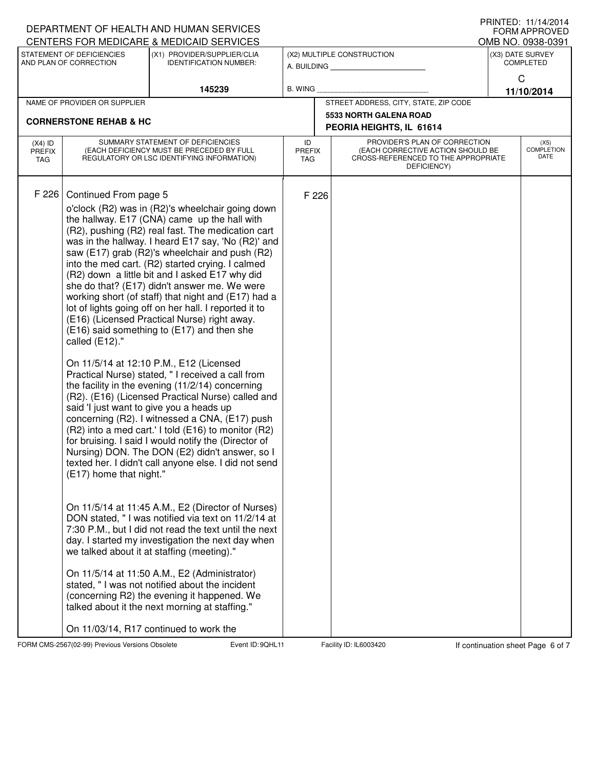|                                   |                                                                    | DEPARTMENT OF HEALTH AND HUMAN SERVICES<br>CENTERS FOR MEDICARE & MEDICAID SERVICES                                                                                                                                                                                                                                                                                                                                                                                                                                                                                                                                                                                                                                                                                                                                                                                                                                                                                                                                                                                                                                                                                                                                                                                                                                                                                                                                                                                                                                                                                                                                                                                                     |                                       |                                                                                                                          |                                      | FNIIVIED. II/I4/ZUI4<br><b>FORM APPROVED</b><br>OMB NO. 0938-0391 |  |
|-----------------------------------|--------------------------------------------------------------------|-----------------------------------------------------------------------------------------------------------------------------------------------------------------------------------------------------------------------------------------------------------------------------------------------------------------------------------------------------------------------------------------------------------------------------------------------------------------------------------------------------------------------------------------------------------------------------------------------------------------------------------------------------------------------------------------------------------------------------------------------------------------------------------------------------------------------------------------------------------------------------------------------------------------------------------------------------------------------------------------------------------------------------------------------------------------------------------------------------------------------------------------------------------------------------------------------------------------------------------------------------------------------------------------------------------------------------------------------------------------------------------------------------------------------------------------------------------------------------------------------------------------------------------------------------------------------------------------------------------------------------------------------------------------------------------------|---------------------------------------|--------------------------------------------------------------------------------------------------------------------------|--------------------------------------|-------------------------------------------------------------------|--|
|                                   | STATEMENT OF DEFICIENCIES<br>AND PLAN OF CORRECTION                | (X1) PROVIDER/SUPPLIER/CLIA<br><b>IDENTIFICATION NUMBER:</b>                                                                                                                                                                                                                                                                                                                                                                                                                                                                                                                                                                                                                                                                                                                                                                                                                                                                                                                                                                                                                                                                                                                                                                                                                                                                                                                                                                                                                                                                                                                                                                                                                            |                                       | (X2) MULTIPLE CONSTRUCTION<br>A. BUILDING                                                                                | (X3) DATE SURVEY<br><b>COMPLETED</b> |                                                                   |  |
| 145239                            |                                                                    |                                                                                                                                                                                                                                                                                                                                                                                                                                                                                                                                                                                                                                                                                                                                                                                                                                                                                                                                                                                                                                                                                                                                                                                                                                                                                                                                                                                                                                                                                                                                                                                                                                                                                         | <b>B. WING</b>                        |                                                                                                                          | C<br>11/10/2014                      |                                                                   |  |
| NAME OF PROVIDER OR SUPPLIER      |                                                                    |                                                                                                                                                                                                                                                                                                                                                                                                                                                                                                                                                                                                                                                                                                                                                                                                                                                                                                                                                                                                                                                                                                                                                                                                                                                                                                                                                                                                                                                                                                                                                                                                                                                                                         | STREET ADDRESS, CITY, STATE, ZIP CODE |                                                                                                                          |                                      |                                                                   |  |
|                                   | <b>CORNERSTONE REHAB &amp; HC</b>                                  |                                                                                                                                                                                                                                                                                                                                                                                                                                                                                                                                                                                                                                                                                                                                                                                                                                                                                                                                                                                                                                                                                                                                                                                                                                                                                                                                                                                                                                                                                                                                                                                                                                                                                         |                                       | <b>5533 NORTH GALENA ROAD</b><br>PEORIA HEIGHTS, IL 61614                                                                |                                      |                                                                   |  |
| $(X4)$ ID<br><b>PREFIX</b><br>TAG |                                                                    | SUMMARY STATEMENT OF DEFICIENCIES<br>(EACH DEFICIENCY MUST BE PRECEDED BY FULL<br>REGULATORY OR LSC IDENTIFYING INFORMATION)                                                                                                                                                                                                                                                                                                                                                                                                                                                                                                                                                                                                                                                                                                                                                                                                                                                                                                                                                                                                                                                                                                                                                                                                                                                                                                                                                                                                                                                                                                                                                            | ID<br><b>PREFIX</b><br>TAG            | PROVIDER'S PLAN OF CORRECTION<br>(EACH CORRECTIVE ACTION SHOULD BE<br>CROSS-REFERENCED TO THE APPROPRIATE<br>DEFICIENCY) |                                      | (X5)<br><b>COMPLETION</b><br>DATE                                 |  |
| F 226                             | Continued From page 5<br>called (E12)."<br>(E17) home that night." | o'clock (R2) was in (R2)'s wheelchair going down<br>the hallway. E17 (CNA) came up the hall with<br>(R2), pushing (R2) real fast. The medication cart<br>was in the hallway. I heard E17 say, 'No (R2)' and<br>saw (E17) grab (R2)'s wheelchair and push (R2)<br>into the med cart. (R2) started crying. I calmed<br>(R2) down a little bit and I asked E17 why did<br>she do that? (E17) didn't answer me. We were<br>working short (of staff) that night and (E17) had a<br>lot of lights going off on her hall. I reported it to<br>(E16) (Licensed Practical Nurse) right away.<br>(E16) said something to (E17) and then she<br>On 11/5/14 at 12:10 P.M., E12 (Licensed<br>Practical Nurse) stated, "I received a call from<br>the facility in the evening (11/2/14) concerning<br>(R2). (E16) (Licensed Practical Nurse) called and<br>said 'I just want to give you a heads up<br>concerning (R2). I witnessed a CNA, (E17) push<br>(R2) into a med cart.' I told (E16) to monitor (R2)<br>for bruising. I said I would notify the (Director of<br>Nursing) DON. The DON (E2) didn't answer, so I<br>texted her. I didn't call anyone else. I did not send<br>On 11/5/14 at 11:45 A.M., E2 (Director of Nurses)<br>DON stated, " I was notified via text on 11/2/14 at<br>7:30 P.M., but I did not read the text until the next<br>day. I started my investigation the next day when<br>we talked about it at staffing (meeting)."<br>On 11/5/14 at 11:50 A.M., E2 (Administrator)<br>stated, " I was not notified about the incident<br>(concerning R2) the evening it happened. We<br>talked about it the next morning at staffing."<br>On 11/03/14, R17 continued to work the | F 226                                 |                                                                                                                          |                                      |                                                                   |  |

FORM CMS-2567(02-99) Previous Versions Obsolete **12 Form Event ID: 9QHL11** Facility ID: IL6003420 If continuation sheet Page 6 of 7